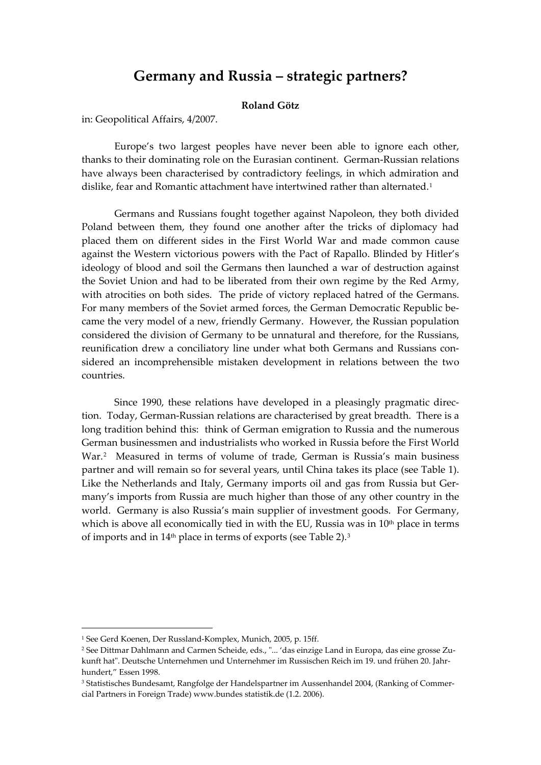# **Germany and Russia – strategic partners?**

# **Roland Götz**

in: Geopolitical Affairs, 4/2007.

Europe's two largest peoples have never been able to ignore each other, thanks to their dominating role on the Eurasian continent. German-Russian relations have always been characterised by contradictory feelings, in which admiration and dislike, fear and Romantic attachment have intertwined rather than alternated.<sup>[1](#page-0-0)</sup>

 Germans and Russians fought together against Napoleon, they both divided Poland between them, they found one another after the tricks of diplomacy had placed them on different sides in the First World War and made common cause against the Western victorious powers with the Pact of Rapallo. Blinded by Hitler's ideology of blood and soil the Germans then launched a war of destruction against the Soviet Union and had to be liberated from their own regime by the Red Army, with atrocities on both sides. The pride of victory replaced hatred of the Germans. For many members of the Soviet armed forces, the German Democratic Republic became the very model of a new, friendly Germany. However, the Russian population considered the division of Germany to be unnatural and therefore, for the Russians, reunification drew a conciliatory line under what both Germans and Russians considered an incomprehensible mistaken development in relations between the two countries.

 Since 1990, these relations have developed in a pleasingly pragmatic direction. Today, German-Russian relations are characterised by great breadth. There is a long tradition behind this: think of German emigration to Russia and the numerous German businessmen and industrialists who worked in Russia before the First World War.[2](#page-0-1) Measured in terms of volume of trade, German is Russia's main business partner and will remain so for several years, until China takes its place (see Table 1). Like the Netherlands and Italy, Germany imports oil and gas from Russia but Germany's imports from Russia are much higher than those of any other country in the world. Germany is also Russia's main supplier of investment goods. For Germany, which is above all economically tied in with the EU, Russia was in  $10<sup>th</sup>$  place in terms of imports and in 14<sup>th</sup> place in terms of exports (see Table 2).<sup>[3](#page-0-2)</sup>

1

<span id="page-0-0"></span><sup>1</sup> See Gerd Koenen, Der Russland-Komplex, Munich, 2005, p. 15ff.

<span id="page-0-1"></span><sup>2</sup> See Dittmar Dahlmann and Carmen Scheide, eds., "... 'das einzige Land in Europa, das eine grosse Zukunft hat". Deutsche Unternehmen und Unternehmer im Russischen Reich im 19. und frühen 20. Jahrhundert," Essen 1998.

<span id="page-0-2"></span><sup>3</sup> Statistisches Bundesamt, Rangfolge der Handelspartner im Aussenhandel 2004, (Ranking of Commercial Partners in Foreign Trade) www.bundes statistik.de (1.2. 2006).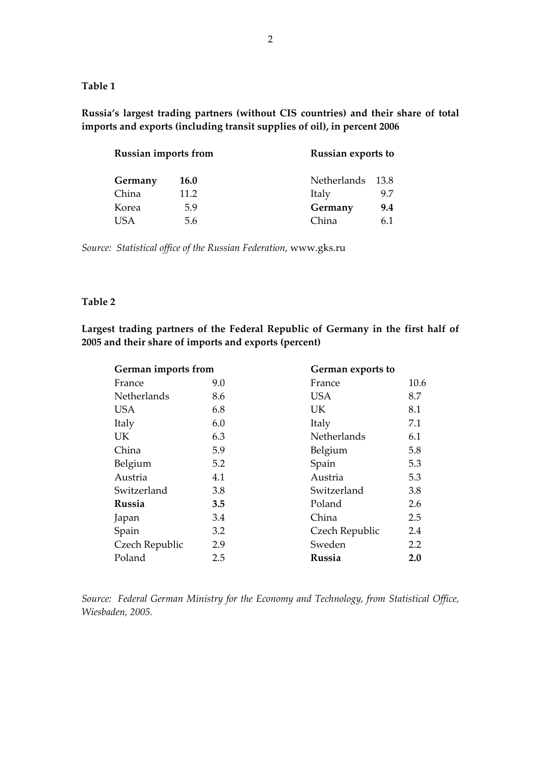**Table 1** 

**Russia's largest trading partners (without CIS countries) and their share of total imports and exports (including transit supplies of oil), in percent 2006** 

| <b>Russian imports from</b> |             | Russian exports to |        |
|-----------------------------|-------------|--------------------|--------|
| Germany                     | <b>16.0</b> | Netherlands        | - 13.8 |
| China                       | 11.2        | Italy              | 9.7    |
| Korea                       | 5.9         | Germany            | 9.4    |
| I ISA                       | 5.6         | China              | 61     |

*Source: Statistical office of the Russian Federation,* www.gks.ru

# **Table 2**

**Largest trading partners of the Federal Republic of Germany in the first half of 2005 and their share of imports and exports (percent)** 

| German imports from |     | German exports to |      |
|---------------------|-----|-------------------|------|
| France              | 9.0 | France            | 10.6 |
| Netherlands         | 8.6 | <b>USA</b>        | 8.7  |
| <b>USA</b>          | 6.8 | UK.               | 8.1  |
| Italy               | 6.0 | Italy             | 7.1  |
| <b>UK</b>           | 6.3 | Netherlands       | 6.1  |
| China               | 5.9 | Belgium           | 5.8  |
| Belgium             | 5.2 | Spain             | 5.3  |
| Austria             | 4.1 | Austria           | 5.3  |
| Switzerland         | 3.8 | Switzerland       | 3.8  |
| Russia              | 3.5 | Poland            | 2.6  |
| Japan               | 3.4 | China             | 2.5  |
| Spain               | 3.2 | Czech Republic    | 2.4  |
| Czech Republic      | 2.9 | Sweden            | 2.2  |
| Poland              | 2.5 | Russia            | 2.0  |

*Source: Federal German Ministry for the Economy and Technology, from Statistical Office, Wiesbaden, 2005.*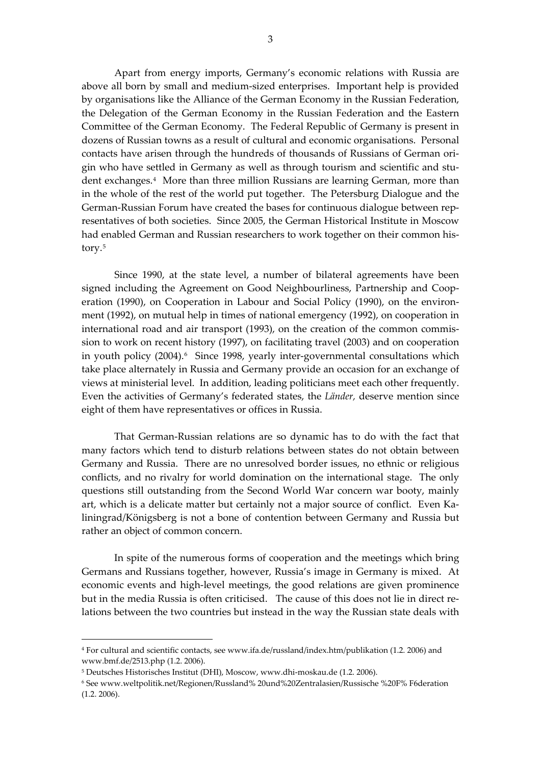Apart from energy imports, Germany's economic relations with Russia are above all born by small and medium-sized enterprises. Important help is provided by organisations like the Alliance of the German Economy in the Russian Federation, the Delegation of the German Economy in the Russian Federation and the Eastern Committee of the German Economy. The Federal Republic of Germany is present in dozens of Russian towns as a result of cultural and economic organisations. Personal contacts have arisen through the hundreds of thousands of Russians of German origin who have settled in Germany as well as through tourism and scientific and student exchanges.[4](#page-2-0) More than three million Russians are learning German, more than in the whole of the rest of the world put together. The Petersburg Dialogue and the German-Russian Forum have created the bases for continuous dialogue between representatives of both societies. Since 2005, the German Historical Institute in Moscow had enabled German and Russian researchers to work together on their common history.[5](#page-2-1)

 Since 1990, at the state level, a number of bilateral agreements have been signed including the Agreement on Good Neighbourliness, Partnership and Cooperation (1990), on Cooperation in Labour and Social Policy (1990), on the environment (1992), on mutual help in times of national emergency (1992), on cooperation in international road and air transport (1993), on the creation of the common commission to work on recent history (1997), on facilitating travel (2003) and on cooperation in youth policy (2004).<sup>[6](#page-2-2)</sup> Since 1998, yearly inter-governmental consultations which take place alternately in Russia and Germany provide an occasion for an exchange of views at ministerial level. In addition, leading politicians meet each other frequently. Even the activities of Germany's federated states, the *Länder,* deserve mention since eight of them have representatives or offices in Russia.

 That German-Russian relations are so dynamic has to do with the fact that many factors which tend to disturb relations between states do not obtain between Germany and Russia. There are no unresolved border issues, no ethnic or religious conflicts, and no rivalry for world domination on the international stage. The only questions still outstanding from the Second World War concern war booty, mainly art, which is a delicate matter but certainly not a major source of conflict. Even Kaliningrad/Königsberg is not a bone of contention between Germany and Russia but rather an object of common concern.

 In spite of the numerous forms of cooperation and the meetings which bring Germans and Russians together, however, Russia's image in Germany is mixed. At economic events and high-level meetings, the good relations are given prominence but in the media Russia is often criticised. The cause of this does not lie in direct relations between the two countries but instead in the way the Russian state deals with

1

<span id="page-2-0"></span><sup>4</sup> For cultural and scientific contacts, see www.ifa.de/russland/index.htm/publikation (1.2. 2006) and www.bmf.de/2513.php (1.2. 2006).

<span id="page-2-1"></span><sup>5</sup> Deutsches Historisches Institut (DHI), Moscow, www.dhi-moskau.de (1.2. 2006).

<span id="page-2-2"></span><sup>6</sup> See www.weltpolitik.net/Regionen/Russland% 20und%20Zentralasien/Russische %20F% F6deration (1.2. 2006).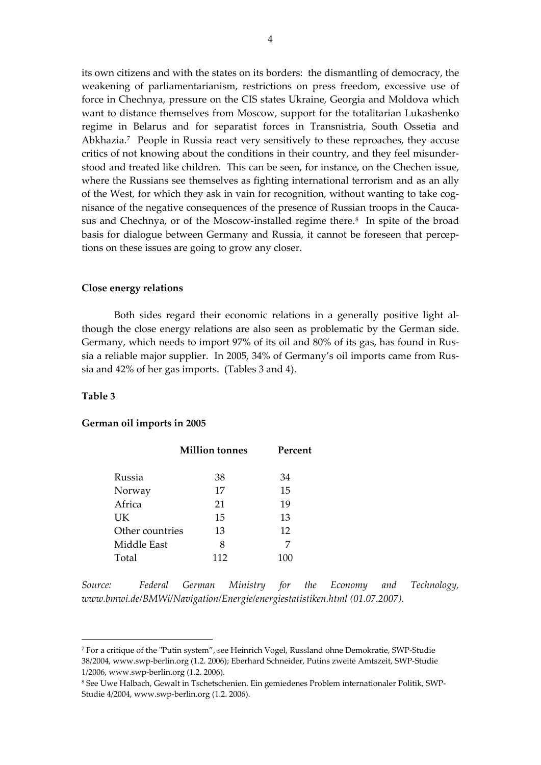its own citizens and with the states on its borders: the dismantling of democracy, the weakening of parliamentarianism, restrictions on press freedom, excessive use of force in Chechnya, pressure on the CIS states Ukraine, Georgia and Moldova which want to distance themselves from Moscow, support for the totalitarian Lukashenko regime in Belarus and for separatist forces in Transnistria, South Ossetia and Abkhazia.[7](#page-3-0) People in Russia react very sensitively to these reproaches, they accuse critics of not knowing about the conditions in their country, and they feel misunderstood and treated like children. This can be seen, for instance, on the Chechen issue, where the Russians see themselves as fighting international terrorism and as an ally of the West, for which they ask in vain for recognition, without wanting to take cognisance of the negative consequences of the presence of Russian troops in the Cauca-sus and Chechnya, or of the Moscow-installed regime there.<sup>[8](#page-3-1)</sup> In spite of the broad basis for dialogue between Germany and Russia, it cannot be foreseen that perceptions on these issues are going to grow any closer.

### **Close energy relations**

 Both sides regard their economic relations in a generally positive light although the close energy relations are also seen as problematic by the German side. Germany, which needs to import 97% of its oil and 80% of its gas, has found in Russia a reliable major supplier. In 2005, 34% of Germany's oil imports came from Russia and 42% of her gas imports. (Tables 3 and 4).

## **Table 3**

1

#### **German oil imports in 2005**

|                 | <b>Million</b> tonnes | Percent |  |
|-----------------|-----------------------|---------|--|
| Russia          | 38                    | 34      |  |
| Norway          | 17                    | 15      |  |
| Africa          | 21                    | 19      |  |
| UK.             | 15                    | 13      |  |
| Other countries | 13                    | 12      |  |
| Middle East     | 8                     | 7       |  |
| Total           | 117                   |         |  |

*Source: Federal German Ministry for the Economy and Technology, www.bmwi.de/BMWi/Navigation/Energie/energiestatistiken.html (01.07.2007).* 

<span id="page-3-0"></span><sup>7</sup> For a critique of the "Putin system", see Heinrich Vogel, Russland ohne Demokratie, SWP-Studie 38/2004, www.swp-berlin.org (1.2. 2006); Eberhard Schneider, Putins zweite Amtszeit, SWP-Studie 1/2006, www.swp-berlin.org (1.2. 2006).

<span id="page-3-1"></span><sup>8</sup> See Uwe Halbach, Gewalt in Tschetschenien. Ein gemiedenes Problem internationaler Politik, SWP-Studie 4/2004, www.swp-berlin.org (1.2. 2006).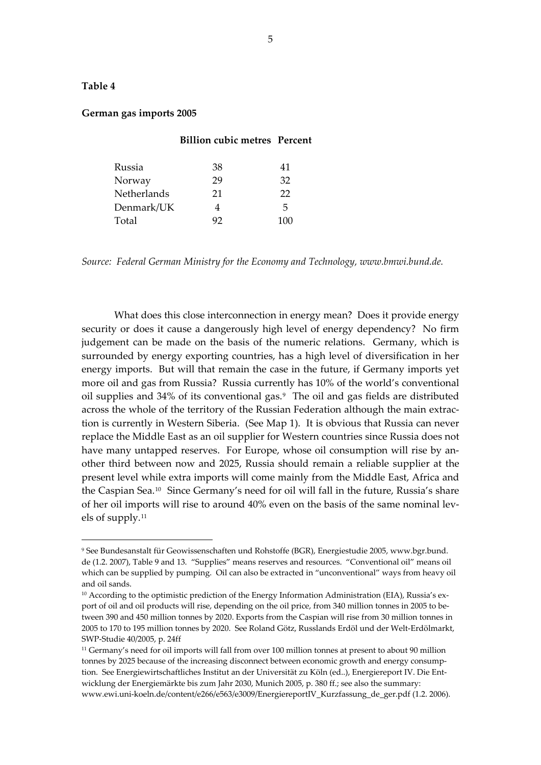# **Table 4**

1

### **German gas imports 2005**

#### **Billion cubic metres Percent**

| Russia      | 38 | 41  |
|-------------|----|-----|
| Norway      | 29 | 32  |
| Netherlands | 21 | 22  |
| Denmark/UK  |    | 5   |
| Total       |    | 10O |

*Source: Federal German Ministry for the Economy and Technology, www.bmwi.bund.de.* 

 What does this close interconnection in energy mean? Does it provide energy security or does it cause a dangerously high level of energy dependency? No firm judgement can be made on the basis of the numeric relations. Germany, which is surrounded by energy exporting countries, has a high level of diversification in her energy imports. But will that remain the case in the future, if Germany imports yet more oil and gas from Russia? Russia currently has 10% of the world's conventional oil supplies and 34% of its conventional gas.[9](#page-4-0) The oil and gas fields are distributed across the whole of the territory of the Russian Federation although the main extraction is currently in Western Siberia. (See Map 1). It is obvious that Russia can never replace the Middle East as an oil supplier for Western countries since Russia does not have many untapped reserves. For Europe, whose oil consumption will rise by another third between now and 2025, Russia should remain a reliable supplier at the present level while extra imports will come mainly from the Middle East, Africa and the Caspian Sea.[10](#page-4-1) Since Germany's need for oil will fall in the future, Russia's share of her oil imports will rise to around 40% even on the basis of the same nominal levels of supply.[11](#page-4-2)

<span id="page-4-0"></span><sup>9</sup> See Bundesanstalt für Geowissenschaften und Rohstoffe (BGR), Energiestudie 2005, www.bgr.bund. de (1.2. 2007), Table 9 and 13. "Supplies" means reserves and resources. "Conventional oil" means oil which can be supplied by pumping. Oil can also be extracted in "unconventional" ways from heavy oil and oil sands.

<span id="page-4-1"></span><sup>&</sup>lt;sup>10</sup> According to the optimistic prediction of the Energy Information Administration (EIA), Russia's export of oil and oil products will rise, depending on the oil price, from 340 million tonnes in 2005 to between 390 and 450 million tonnes by 2020. Exports from the Caspian will rise from 30 million tonnes in 2005 to 170 to 195 million tonnes by 2020. See Roland Götz, Russlands Erdöl und der Welt-Erdölmarkt, SWP-Studie 40/2005, p. 24ff

<span id="page-4-2"></span><sup>&</sup>lt;sup>11</sup> Germany's need for oil imports will fall from over 100 million tonnes at present to about 90 million tonnes by 2025 because of the increasing disconnect between economic growth and energy consumption. See Energiewirtschaftliches Institut an der Universität zu Köln (ed..), Energiereport IV. Die Entwicklung der Energiemärkte bis zum Jahr 2030, Munich 2005, p. 380 ff.; see also the summary: www.ewi.uni-koeln.de/content/e266/e563/e3009/EnergiereportIV\_Kurzfassung\_de\_ger.pdf (1.2. 2006).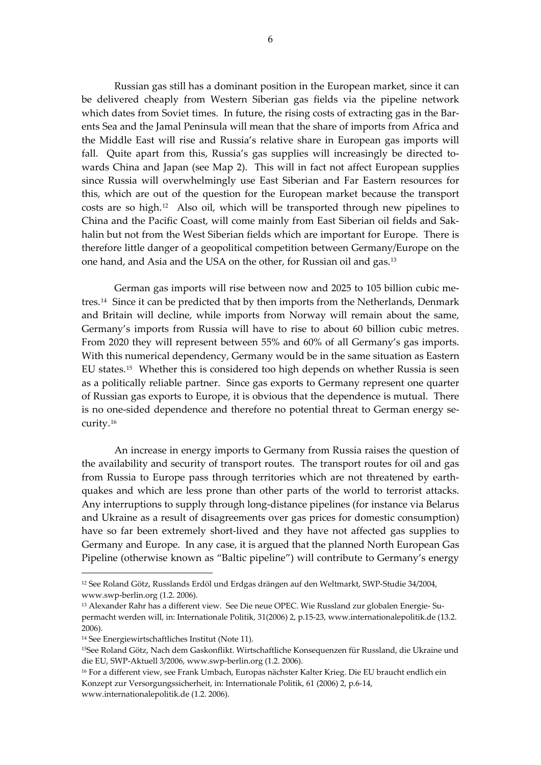Russian gas still has a dominant position in the European market, since it can be delivered cheaply from Western Siberian gas fields via the pipeline network which dates from Soviet times. In future, the rising costs of extracting gas in the Barents Sea and the Jamal Peninsula will mean that the share of imports from Africa and the Middle East will rise and Russia's relative share in European gas imports will fall. Quite apart from this, Russia's gas supplies will increasingly be directed towards China and Japan (see Map 2). This will in fact not affect European supplies since Russia will overwhelmingly use East Siberian and Far Eastern resources for this, which are out of the question for the European market because the transport costs are so high.[12](#page-5-0) Also oil, which will be transported through new pipelines to China and the Pacific Coast, will come mainly from East Siberian oil fields and Sakhalin but not from the West Siberian fields which are important for Europe. There is therefore little danger of a geopolitical competition between Germany/Europe on the one hand, and Asia and the USA on the other, for Russian oil and gas.[13](#page-5-1)

 German gas imports will rise between now and 2025 to 105 billion cubic metres.[14](#page-5-2) Since it can be predicted that by then imports from the Netherlands, Denmark and Britain will decline, while imports from Norway will remain about the same, Germany's imports from Russia will have to rise to about 60 billion cubic metres. From 2020 they will represent between 55% and 60% of all Germany's gas imports. With this numerical dependency, Germany would be in the same situation as Eastern EU states.[15](#page-5-3) Whether this is considered too high depends on whether Russia is seen as a politically reliable partner. Since gas exports to Germany represent one quarter of Russian gas exports to Europe, it is obvious that the dependence is mutual. There is no one-sided dependence and therefore no potential threat to German energy security.[16](#page-5-4)

 An increase in energy imports to Germany from Russia raises the question of the availability and security of transport routes. The transport routes for oil and gas from Russia to Europe pass through territories which are not threatened by earthquakes and which are less prone than other parts of the world to terrorist attacks. Any interruptions to supply through long-distance pipelines (for instance via Belarus and Ukraine as a result of disagreements over gas prices for domestic consumption) have so far been extremely short-lived and they have not affected gas supplies to Germany and Europe. In any case, it is argued that the planned North European Gas Pipeline (otherwise known as "Baltic pipeline") will contribute to Germany's energy

 $\overline{a}$ 

<span id="page-5-0"></span><sup>12</sup> See Roland Götz, Russlands Erdöl und Erdgas drängen auf den Weltmarkt, SWP-Studie 34/2004, www.swp-berlin.org (1.2. 2006).

<span id="page-5-1"></span><sup>13</sup> Alexander Rahr has a different view. See Die neue OPEC. Wie Russland zur globalen Energie- Supermacht werden will, in: Internationale Politik, 31(2006) 2, p.15-23, www.internationalepolitik.de (13.2. 2006).

<span id="page-5-2"></span><sup>14</sup> See Energiewirtschaftliches Institut (Note 11).

<span id="page-5-3"></span><sup>&</sup>lt;sup>15</sup>See Roland Götz, Nach dem Gaskonflikt. Wirtschaftliche Konsequenzen für Russland, die Ukraine und die EU, SWP-Aktuell 3/2006, www.swp-berlin.org (1.2. 2006).

<span id="page-5-4"></span><sup>16</sup> For a different view, see Frank Umbach, Europas nächster Kalter Krieg. Die EU braucht endlich ein Konzept zur Versorgungssicherheit, in: Internationale Politik, 61 (2006) 2, p.6-14, www.internationalepolitik.de (1.2. 2006).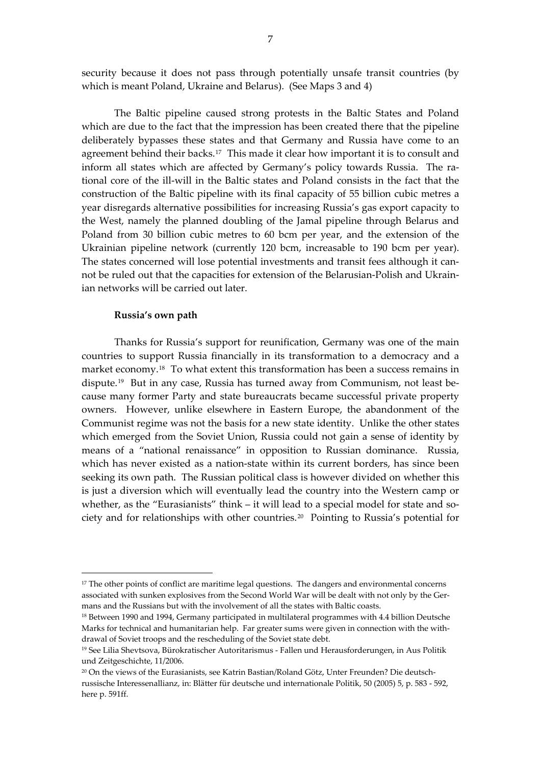security because it does not pass through potentially unsafe transit countries (by which is meant Poland, Ukraine and Belarus). (See Maps 3 and 4)

 The Baltic pipeline caused strong protests in the Baltic States and Poland which are due to the fact that the impression has been created there that the pipeline deliberately bypasses these states and that Germany and Russia have come to an agreement behind their backs.[17](#page-6-0) This made it clear how important it is to consult and inform all states which are affected by Germany's policy towards Russia. The rational core of the ill-will in the Baltic states and Poland consists in the fact that the construction of the Baltic pipeline with its final capacity of 55 billion cubic metres a year disregards alternative possibilities for increasing Russia's gas export capacity to the West, namely the planned doubling of the Jamal pipeline through Belarus and Poland from 30 billion cubic metres to 60 bcm per year, and the extension of the Ukrainian pipeline network (currently 120 bcm, increasable to 190 bcm per year). The states concerned will lose potential investments and transit fees although it cannot be ruled out that the capacities for extension of the Belarusian-Polish and Ukrainian networks will be carried out later.

### **Russia's own path**

 $\overline{a}$ 

Thanks for Russia's support for reunification, Germany was one of the main countries to support Russia financially in its transformation to a democracy and a market economy.<sup>[18](#page-6-1)</sup> To what extent this transformation has been a success remains in dispute.[19](#page-6-2) But in any case, Russia has turned away from Communism, not least because many former Party and state bureaucrats became successful private property owners. However, unlike elsewhere in Eastern Europe, the abandonment of the Communist regime was not the basis for a new state identity. Unlike the other states which emerged from the Soviet Union, Russia could not gain a sense of identity by means of a "national renaissance" in opposition to Russian dominance. Russia, which has never existed as a nation-state within its current borders, has since been seeking its own path. The Russian political class is however divided on whether this is just a diversion which will eventually lead the country into the Western camp or whether, as the "Eurasianists" think – it will lead to a special model for state and society and for relationships with other countries.[20](#page-6-3) Pointing to Russia's potential for

<span id="page-6-0"></span><sup>&</sup>lt;sup>17</sup> The other points of conflict are maritime legal questions. The dangers and environmental concerns associated with sunken explosives from the Second World War will be dealt with not only by the Germans and the Russians but with the involvement of all the states with Baltic coasts.

<span id="page-6-1"></span><sup>&</sup>lt;sup>18</sup> Between 1990 and 1994, Germany participated in multilateral programmes with 4.4 billion Deutsche Marks for technical and humanitarian help. Far greater sums were given in connection with the withdrawal of Soviet troops and the rescheduling of the Soviet state debt.

<span id="page-6-2"></span><sup>19</sup> See Lilia Shevtsova, Bürokratischer Autoritarismus - Fallen und Herausforderungen, in Aus Politik und Zeitgeschichte, 11/2006.

<span id="page-6-3"></span><sup>20</sup> On the views of the Eurasianists, see Katrin Bastian/Roland Götz, Unter Freunden? Die deutschrussische Interessenallianz, in: Blätter für deutsche und internationale Politik, 50 (2005) 5, p. 583 - 592, here p. 591ff.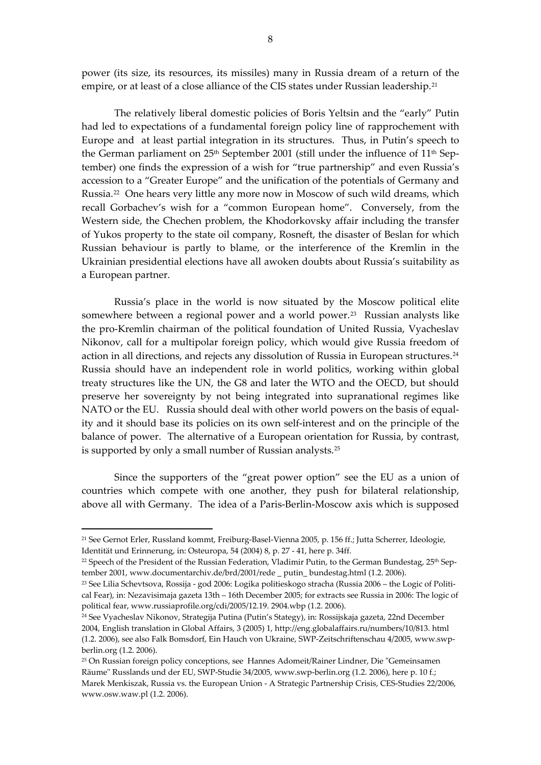power (its size, its resources, its missiles) many in Russia dream of a return of the empire, or at least of a close alliance of the CIS states under Russian leadership.<sup>[21](#page-7-0)</sup>

 The relatively liberal domestic policies of Boris Yeltsin and the "early" Putin had led to expectations of a fundamental foreign policy line of rapprochement with Europe and at least partial integration in its structures. Thus, in Putin's speech to the German parliament on  $25<sup>th</sup>$  September 2001 (still under the influence of  $11<sup>th</sup>$  September) one finds the expression of a wish for "true partnership" and even Russia's accession to a "Greater Europe" and the unification of the potentials of Germany and Russia.[22](#page-7-1) One hears very little any more now in Moscow of such wild dreams, which recall Gorbachev's wish for a "common European home". Conversely, from the Western side, the Chechen problem, the Khodorkovsky affair including the transfer of Yukos property to the state oil company, Rosneft, the disaster of Beslan for which Russian behaviour is partly to blame, or the interference of the Kremlin in the Ukrainian presidential elections have all awoken doubts about Russia's suitability as a European partner.

 Russia's place in the world is now situated by the Moscow political elite somewhere between a regional power and a world power.<sup>[23](#page-7-2)</sup> Russian analysts like the pro-Kremlin chairman of the political foundation of United Russia, Vyacheslav Nikonov, call for a multipolar foreign policy, which would give Russia freedom of action in all directions, and rejects any dissolution of Russia in European structures.[24](#page-7-3) Russia should have an independent role in world politics, working within global treaty structures like the UN, the G8 and later the WTO and the OECD, but should preserve her sovereignty by not being integrated into supranational regimes like NATO or the EU. Russia should deal with other world powers on the basis of equality and it should base its policies on its own self-interest and on the principle of the balance of power. The alternative of a European orientation for Russia, by contrast, is supported by only a small number of Russian analysts.[25](#page-7-4)

 Since the supporters of the "great power option" see the EU as a union of countries which compete with one another, they push for bilateral relationship, above all with Germany. The idea of a Paris-Berlin-Moscow axis which is supposed

1

<span id="page-7-0"></span><sup>21</sup> See Gernot Erler, Russland kommt, Freiburg-Basel-Vienna 2005, p. 156 ff.; Jutta Scherrer, Ideologie, Identität und Erinnerung, in: Osteuropa, 54 (2004) 8, p. 27 - 41, here p. 34ff.

<span id="page-7-1"></span><sup>&</sup>lt;sup>22</sup> Speech of the President of the Russian Federation, Vladimir Putin, to the German Bundestag, 25<sup>th</sup> September 2001, www.documentarchiv.de/brd/2001/rede \_ putin\_ bundestag.html (1.2. 2006).

<span id="page-7-2"></span><sup>23</sup> See Lilia Schevtsova, Rossija - god 2006: Logika politieskogo stracha (Russia 2006 – the Logic of Political Fear), in: Nezavisimaja gazeta 13th – 16th December 2005; for extracts see Russia in 2006: The logic of political fear, www.russiaprofile.org/cdi/2005/12.19. 2904.wbp (1.2. 2006).

<span id="page-7-3"></span><sup>24</sup> See Vyacheslav Nikonov, Strategija Putina (Putin's Stategy), in: Rossijskaja gazeta, 22nd December 2004, English translation in Global Affairs, 3 (2005) 1, http://eng.globalaffairs.ru/numbers/10/813. html (1.2. 2006), see also Falk Bomsdorf, Ein Hauch von Ukraine, SWP-Zeitschriftenschau 4/2005, www.swpberlin.org (1.2. 2006).

<span id="page-7-4"></span><sup>25</sup> On Russian foreign policy conceptions, see Hannes Adomeit/Rainer Lindner, Die "Gemeinsamen Räume" Russlands und der EU, SWP-Studie 34/2005, www.swp-berlin.org (1.2. 2006), here p. 10 f.; Marek Menkiszak, Russia vs. the European Union - A Strategic Partnership Crisis, CES-Studies 22/2006, www.osw.waw.pl (1.2. 2006).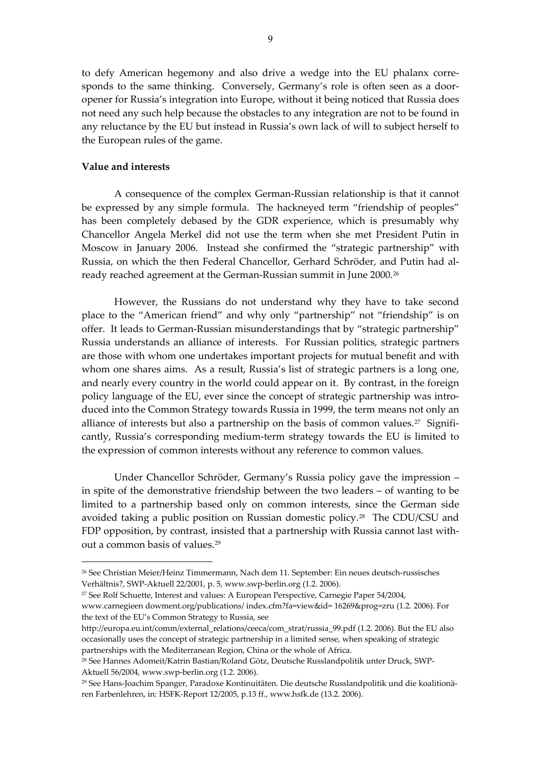to defy American hegemony and also drive a wedge into the EU phalanx corresponds to the same thinking. Conversely, Germany's role is often seen as a dooropener for Russia's integration into Europe, without it being noticed that Russia does not need any such help because the obstacles to any integration are not to be found in any reluctance by the EU but instead in Russia's own lack of will to subject herself to the European rules of the game.

# **Value and interests**

1

 A consequence of the complex German-Russian relationship is that it cannot be expressed by any simple formula. The hackneyed term "friendship of peoples" has been completely debased by the GDR experience, which is presumably why Chancellor Angela Merkel did not use the term when she met President Putin in Moscow in January 2006. Instead she confirmed the "strategic partnership" with Russia, on which the then Federal Chancellor, Gerhard Schröder, and Putin had already reached agreement at the German-Russian summit in June 2000.[26](#page-8-0)

 However, the Russians do not understand why they have to take second place to the "American friend" and why only "partnership" not "friendship" is on offer. It leads to German-Russian misunderstandings that by "strategic partnership" Russia understands an alliance of interests. For Russian politics, strategic partners are those with whom one undertakes important projects for mutual benefit and with whom one shares aims. As a result, Russia's list of strategic partners is a long one, and nearly every country in the world could appear on it. By contrast, in the foreign policy language of the EU, ever since the concept of strategic partnership was introduced into the Common Strategy towards Russia in 1999, the term means not only an alliance of interests but also a partnership on the basis of common values.<sup>[27](#page-8-1)</sup> Significantly, Russia's corresponding medium-term strategy towards the EU is limited to the expression of common interests without any reference to common values.

 Under Chancellor Schröder, Germany's Russia policy gave the impression – in spite of the demonstrative friendship between the two leaders – of wanting to be limited to a partnership based only on common interests, since the German side avoided taking a public position on Russian domestic policy.[28](#page-8-2) The CDU/CSU and FDP opposition, by contrast, insisted that a partnership with Russia cannot last without a common basis of values.[29](#page-8-3)

<span id="page-8-0"></span><sup>26</sup> See Christian Meier/Heinz Timmermann, Nach dem 11. September: Ein neues deutsch-russisches Verhältnis?, SWP-Aktuell 22/2001, p. 5, www.swp-berlin.org (1.2. 2006).

<span id="page-8-1"></span><sup>27</sup> See Rolf Schuette, Interest and values: A European Perspective, Carnegie Paper 54/2004, www.carnegieen dowment.org/publications/ index.cfm?fa=view&id= 16269&prog=zru (1.2. 2006). For the text of the EU's Common Strategy to Russia, see

http://europa.eu.int/comm/external\_relations/ceeca/com\_strat/russia\_99.pdf (1.2. 2006). But the EU also occasionally uses the concept of strategic partnership in a limited sense, when speaking of strategic partnerships with the Mediterranean Region, China or the whole of Africa.

<span id="page-8-2"></span><sup>28</sup> See Hannes Adomeit/Katrin Bastian/Roland Götz, Deutsche Russlandpolitik unter Druck, SWP-Aktuell 56/2004, www.swp-berlin.org (1.2. 2006).

<span id="page-8-3"></span><sup>29</sup> See Hans-Joachim Spanger, Paradoxe Kontinuitäten. Die deutsche Russlandpolitik und die koalitionären Farbenlehren, in: HSFK-Report 12/2005, p.13 ff., www.hsfk.de (13.2. 2006).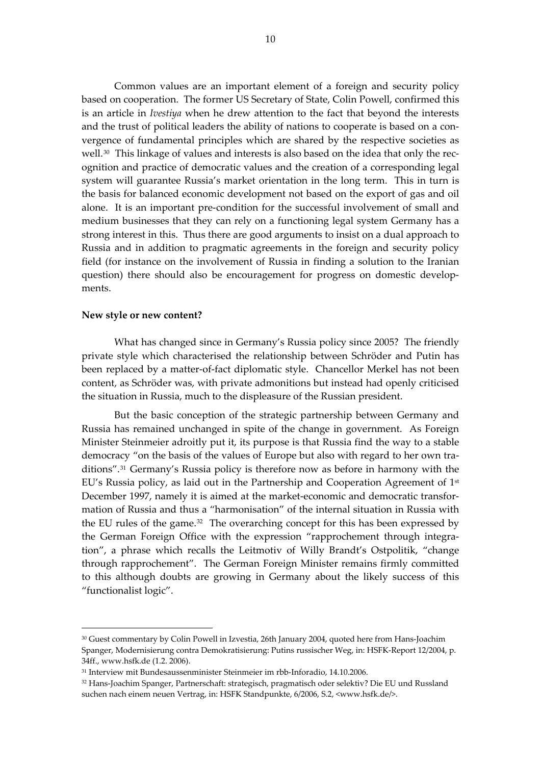Common values are an important element of a foreign and security policy based on cooperation. The former US Secretary of State, Colin Powell, confirmed this is an article in *Ivestiya* when he drew attention to the fact that beyond the interests and the trust of political leaders the ability of nations to cooperate is based on a convergence of fundamental principles which are shared by the respective societies as well.[30](#page-9-0) This linkage of values and interests is also based on the idea that only the recognition and practice of democratic values and the creation of a corresponding legal system will guarantee Russia's market orientation in the long term. This in turn is the basis for balanced economic development not based on the export of gas and oil alone. It is an important pre-condition for the successful involvement of small and medium businesses that they can rely on a functioning legal system Germany has a strong interest in this. Thus there are good arguments to insist on a dual approach to Russia and in addition to pragmatic agreements in the foreign and security policy field (for instance on the involvement of Russia in finding a solution to the Iranian question) there should also be encouragement for progress on domestic developments.

### **New style or new content?**

1

 What has changed since in Germany's Russia policy since 2005? The friendly private style which characterised the relationship between Schröder and Putin has been replaced by a matter-of-fact diplomatic style. Chancellor Merkel has not been content, as Schröder was, with private admonitions but instead had openly criticised the situation in Russia, much to the displeasure of the Russian president.

 But the basic conception of the strategic partnership between Germany and Russia has remained unchanged in spite of the change in government. As Foreign Minister Steinmeier adroitly put it, its purpose is that Russia find the way to a stable democracy "on the basis of the values of Europe but also with regard to her own traditions".[31](#page-9-1) Germany's Russia policy is therefore now as before in harmony with the EU's Russia policy, as laid out in the Partnership and Cooperation Agreement of 1st December 1997, namely it is aimed at the market-economic and democratic transformation of Russia and thus a "harmonisation" of the internal situation in Russia with the EU rules of the game.<sup>[32](#page-9-2)</sup> The overarching concept for this has been expressed by the German Foreign Office with the expression "rapprochement through integration", a phrase which recalls the Leitmotiv of Willy Brandt's Ostpolitik, "change through rapprochement". The German Foreign Minister remains firmly committed to this although doubts are growing in Germany about the likely success of this "functionalist logic".

<span id="page-9-0"></span><sup>&</sup>lt;sup>30</sup> Guest commentary by Colin Powell in Izvestia, 26th January 2004, quoted here from Hans-Joachim Spanger, Modernisierung contra Demokratisierung: Putins russischer Weg, in: HSFK-Report 12/2004, p. 34ff., www.hsfk.de (1.2. 2006).

<span id="page-9-1"></span><sup>31</sup> Interview mit Bundesaussenminister Steinmeier im rbb-Inforadio, 14.10.2006.

<span id="page-9-2"></span><sup>32</sup> Hans-Joachim Spanger, Partnerschaft: strategisch, pragmatisch oder selektiv? Die EU und Russland suchen nach einem neuen Vertrag, in: HSFK Standpunkte, 6/2006, S.2, <www.hsfk.de/>.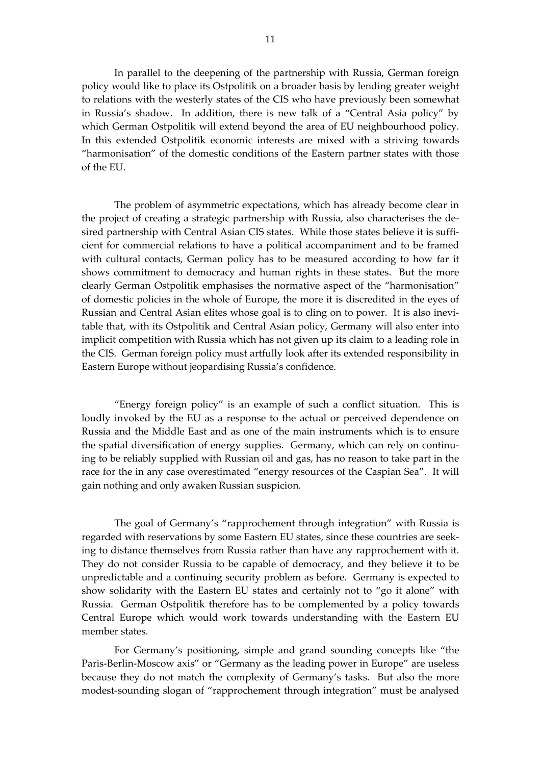In parallel to the deepening of the partnership with Russia, German foreign policy would like to place its Ostpolitik on a broader basis by lending greater weight to relations with the westerly states of the CIS who have previously been somewhat in Russia's shadow. In addition, there is new talk of a "Central Asia policy" by which German Ostpolitik will extend beyond the area of EU neighbourhood policy. In this extended Ostpolitik economic interests are mixed with a striving towards "harmonisation" of the domestic conditions of the Eastern partner states with those of the EU.

 The problem of asymmetric expectations, which has already become clear in the project of creating a strategic partnership with Russia, also characterises the desired partnership with Central Asian CIS states. While those states believe it is sufficient for commercial relations to have a political accompaniment and to be framed with cultural contacts, German policy has to be measured according to how far it shows commitment to democracy and human rights in these states. But the more clearly German Ostpolitik emphasises the normative aspect of the "harmonisation" of domestic policies in the whole of Europe, the more it is discredited in the eyes of Russian and Central Asian elites whose goal is to cling on to power. It is also inevitable that, with its Ostpolitik and Central Asian policy, Germany will also enter into implicit competition with Russia which has not given up its claim to a leading role in the CIS. German foreign policy must artfully look after its extended responsibility in Eastern Europe without jeopardising Russia's confidence.

 "Energy foreign policy" is an example of such a conflict situation. This is loudly invoked by the EU as a response to the actual or perceived dependence on Russia and the Middle East and as one of the main instruments which is to ensure the spatial diversification of energy supplies. Germany, which can rely on continuing to be reliably supplied with Russian oil and gas, has no reason to take part in the race for the in any case overestimated "energy resources of the Caspian Sea". It will gain nothing and only awaken Russian suspicion.

 The goal of Germany's "rapprochement through integration" with Russia is regarded with reservations by some Eastern EU states, since these countries are seeking to distance themselves from Russia rather than have any rapprochement with it. They do not consider Russia to be capable of democracy, and they believe it to be unpredictable and a continuing security problem as before. Germany is expected to show solidarity with the Eastern EU states and certainly not to "go it alone" with Russia. German Ostpolitik therefore has to be complemented by a policy towards Central Europe which would work towards understanding with the Eastern EU member states.

 For Germany's positioning, simple and grand sounding concepts like "the Paris-Berlin-Moscow axis" or "Germany as the leading power in Europe" are useless because they do not match the complexity of Germany's tasks. But also the more modest-sounding slogan of "rapprochement through integration" must be analysed